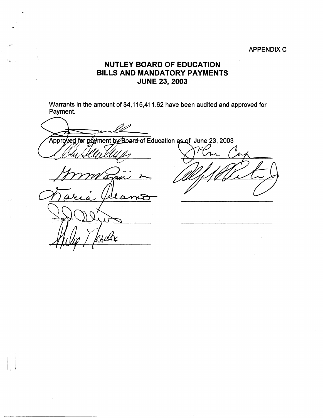## **APPENDIX C**

## **NUTLEY BOARD OF EDUCATION BILLS AND MANDATORY PAYMENTS JUNE 23, 2003**

1,~ I

1, \_\_ ,

 $\begin{bmatrix} 0 \\ 0 \\ 0 \\ 0 \end{bmatrix}$ 

Warrants in the amount of \$4,115,411.62 have been audited and approved for Payment.

Approved for payment by Board of Education as of June 23, 2003 -<br>vs  $\omega$ 

.~-----~ ---- --------~------ -----····· ., \_\_\_\_\_\_\_\_ - -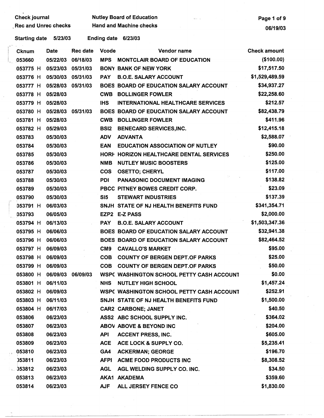| <b>Rec and Unrec checks</b> |                      |                      | <b>Nutley Board of Education</b><br><b>Hand and Machine checks</b> |                                                                     |                                   |  |  |  |
|-----------------------------|----------------------|----------------------|--------------------------------------------------------------------|---------------------------------------------------------------------|-----------------------------------|--|--|--|
|                             | 5/23/03              |                      | <b>Ending date</b>                                                 | 6/23/03                                                             | 06/19/03                          |  |  |  |
| <b>Starting date</b>        |                      |                      |                                                                    |                                                                     |                                   |  |  |  |
| Cknum                       | <b>Date</b>          | <b>Rec date</b>      | <b>Vcode</b>                                                       | Vendor name                                                         | <b>Check amount</b><br>(\$100.00) |  |  |  |
| 053660                      | 05/22/03<br>05/23/03 | 06/18/03<br>05/31/03 | <b>MPS</b>                                                         | <b>MONTCLAIR BOARD OF EDUCATION</b><br><b>BONY BANK OF NEW YORK</b> | \$17,517.50                       |  |  |  |
| 053775 H                    | 05/30/03 05/31/03    |                      |                                                                    | <b>B.O.E. SALARY ACCOUNT</b>                                        | \$1,529,489.59                    |  |  |  |
| 053776 H                    | 05/28/03             | 05/31/03             | <b>PAY</b>                                                         | BOES BOARD OF EDUCATION SALARY ACCOUNT                              | \$34,937.27                       |  |  |  |
| 053777 H                    | 05/28/03             |                      | <b>CWB</b>                                                         | <b>BOLLINGER FOWLER</b>                                             | \$22,258.60                       |  |  |  |
| 053778 H                    | 05/28/03             |                      | <b>IHS</b>                                                         | <b>INTERNATIONAL HEALTHCARE SERVICES</b>                            | \$212.57                          |  |  |  |
| 053779 H<br>053780 H        | 05/28/03             | 05/31/03             |                                                                    | BOES BOARD OF EDUCATION SALARY ACCOUNT                              | \$82,438.79                       |  |  |  |
|                             | 05/28/03             |                      | <b>CWB</b>                                                         | <b>BOLLINGER FOWLER</b>                                             | \$411.96                          |  |  |  |
| 053781 H                    | 05/29/03             |                      |                                                                    |                                                                     | \$12,415.18                       |  |  |  |
| 053782 H                    | 05/30/03             |                      | <b>BSI2</b><br><b>ADV</b>                                          | <b>BENECARD SERVICES, INC.</b><br><b>ADVANTA</b>                    | \$2,588.07                        |  |  |  |
| 053783                      | 05/30/03             |                      | <b>EAN</b>                                                         | <b>EDUCATION ASSOCIATION OF NUTLEY</b>                              | \$90.00                           |  |  |  |
| 053784                      | 05/30/03             |                      |                                                                    | HORF HORIZON HEALTHCARE DENTAL SERVICES                             | \$250.00                          |  |  |  |
| 053785                      | 05/30/03             |                      | <b>NMB</b>                                                         | <b>NUTLEY MUSIC BOOSTERS</b>                                        | \$125.00                          |  |  |  |
| 053786<br>053787            | 05/30/03             |                      | <b>COS</b>                                                         | <b>OSETTO; CHERYL</b>                                               | \$117.00                          |  |  |  |
| 053788                      | 05/30/03             |                      | <b>PDI</b>                                                         | <b>PANASONIC DOCUMENT IMAGING</b>                                   | \$138.82                          |  |  |  |
| 053789                      | 05/30/03             |                      |                                                                    | PBCC PITNEY BOWES CREDIT CORP.                                      | \$23.09                           |  |  |  |
| 053790                      | 05/30/03             |                      | S <sub>5</sub>                                                     | <b>STEWART INDUSTRIES</b>                                           | \$137.39                          |  |  |  |
| 053791 H                    | 06/03/03             |                      |                                                                    | SNJH STATE OF NJ HEALTH BENEFITS FUND                               | \$341,354.71                      |  |  |  |
| 053793                      | 06/05/03             |                      |                                                                    | EZP2 E-Z PASS                                                       | \$2,000.00                        |  |  |  |
| 053794 H                    | 06/13/03             |                      | <b>PAY</b>                                                         | <b>B.O.E. SALARY ACCOUNT</b>                                        | \$1,503,347.36                    |  |  |  |
| 053795 H                    | 06/06/03             |                      |                                                                    | BOES BOARD OF EDUCATION SALARY ACCOUNT                              | \$32,941.38                       |  |  |  |
| 053796 H                    | 06/06/03             |                      |                                                                    | BOES BOARD OF EDUCATION SALARY ACCOUNT                              | \$82,464.52                       |  |  |  |
| 053797 H                    | 06/09/03             |                      | CM9                                                                | <b>CAVALLO'S MARKET</b>                                             | \$95.00                           |  |  |  |
| 053798 H                    | 06/09/03             |                      | <b>COB</b>                                                         | <b>COUNTY OF BERGEN DEPT.OF PARKS</b>                               | \$25.00                           |  |  |  |
| 053799 H                    | 06/09/03             |                      | <b>COB</b>                                                         | <b>COUNTY OF BERGEN DEPT.OF PARKS</b>                               | \$50.00                           |  |  |  |
| 053800 H                    | 06/09/03             | 06/09/03             |                                                                    | <b>WSPC WASHINGTON SCHOOL PETTY CASH ACCOUNT</b>                    | \$0.00                            |  |  |  |
| 053801 H                    | 06/11/03             |                      | <b>NHS</b>                                                         | <b>NUTLEY HIGH SCHOOL</b>                                           | \$1,457.24                        |  |  |  |
| 053802 H                    | 06/09/03             |                      |                                                                    | WSPC WASHINGTON SCHOOL PETTY CASH ACCOUNT                           | \$252.91                          |  |  |  |
| 053803 H                    | 06/11/03             |                      |                                                                    | SNJH STATE OF NJ HEALTH BENEFITS FUND                               | \$1,500.00                        |  |  |  |
| 053804 H                    | 06/17/03             |                      |                                                                    | <b>CAR2 CARBONE; JANET</b>                                          | \$40.50                           |  |  |  |
| 053806                      | 06/23/03             |                      |                                                                    | ASS2 ABC SCHOOL SUPPLY INC.                                         | \$364.02                          |  |  |  |
| 053807                      | 06/23/03             |                      |                                                                    | ABOV ABOVE & BEYOND INC                                             | \$204.00                          |  |  |  |
| 053808                      | 06/23/03             |                      | <b>API</b>                                                         | <b>ACCENT PRESS, INC.</b>                                           | \$605.00                          |  |  |  |
| 053809                      | 06/23/03             |                      | <b>ACE</b>                                                         | ACE LOCK & SUPPLY CO.                                               | \$5,235.41                        |  |  |  |
| 053810                      | 06/23/03             |                      | GA4                                                                | <b>ACKERMAN; GEORGE</b>                                             | \$196.70                          |  |  |  |
| 053811                      | 06/23/03             |                      | <b>AFPI</b>                                                        | <b>ACME FOOD PRODUCTS INC</b>                                       | \$8,308.52                        |  |  |  |
| 1.353812                    | 06/23/03             |                      | <b>AGL</b>                                                         | AGL WELDING SUPPLY CO. INC.                                         | \$34.50                           |  |  |  |
| 053813                      | 06/23/03             |                      |                                                                    | AKA1 AKADEMA                                                        | \$359.60                          |  |  |  |
| 053814                      | 06/23/03             |                      | <b>AJF</b>                                                         | ALL JERSEY FENCE CO                                                 | \$1,830.00                        |  |  |  |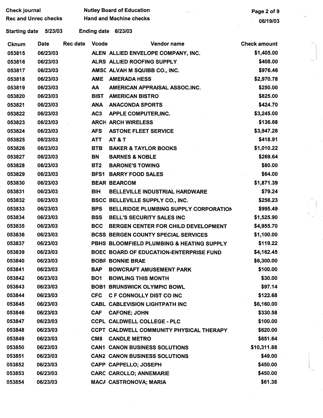| <b>Check journal</b>        |             |                 |                 | <b>Nutley Board of Education</b>           | Page 2 of 9         |  |  |
|-----------------------------|-------------|-----------------|-----------------|--------------------------------------------|---------------------|--|--|
| <b>Rec and Unrec checks</b> |             |                 |                 | <b>Hand and Machine checks</b>             | 06/19/03            |  |  |
| Starting date               | 5/23/03     |                 |                 | Ending date 6/23/03                        |                     |  |  |
| <b>Cknum</b>                | <b>Date</b> | <b>Rec date</b> | <b>Vcode</b>    | Vendor name                                | <b>Check amount</b> |  |  |
| 053815                      | 06/23/03    |                 |                 | ALEN ALLIED ENVELOPE COMPANY, INC.         | \$1,405.00          |  |  |
| 053816                      | 06/23/03    |                 |                 | ALRS ALLIED ROOFING SUPPLY                 | \$408.00            |  |  |
| 053817                      | 06/23/03    |                 |                 | AMSC ALVAH M SQUIBB CO., INC.              | \$976.46            |  |  |
| 053818                      | 06/23/03    |                 | <b>AME</b>      | <b>AMERADA HESS</b>                        | \$2,970.78          |  |  |
| 053819                      | 06/23/03    |                 | AA              | AMERICAN APPRAISAL ASSOC.INC.              | \$250.00            |  |  |
| 053820                      | 06/23/03    |                 | <b>BIST</b>     | <b>AMERICAN BISTRO</b>                     | \$825.00            |  |  |
| 053821                      | 06/23/03    |                 | <b>ANA</b>      | <b>ANACONDA SPORTS</b>                     | \$424.70            |  |  |
| 053822                      | 06/23/03    |                 | AC <sub>3</sub> | <b>APPLE COMPUTER, INC.</b>                | \$3,245.00          |  |  |
| 053823                      | 06/23/03    |                 |                 | <b>ARCH ARCH WIRELESS</b>                  | \$136.68            |  |  |
| 053824                      | 06/23/03    |                 | <b>AFS</b>      | <b>ASTONE FLEET SERVICE</b>                | \$3,947.28          |  |  |
| 053825                      | 06/23/03    |                 | <b>ATT</b>      | <b>AT &amp; T</b>                          | \$418.91            |  |  |
| 053826                      | 06/23/03    |                 | <b>BTB</b>      | <b>BAKER &amp; TAYLOR BOOKS</b>            | \$1,010.22          |  |  |
| 053827                      | 06/23/03    |                 | <b>BN</b>       | <b>BARNES &amp; NOBLE</b>                  | \$269.64            |  |  |
| 053828                      | 06/23/03    |                 | BT <sub>2</sub> | <b>BARONE'S TOWING</b>                     | \$80.00             |  |  |
| 053829                      | 06/23/03    |                 |                 | <b>BFS1 BARRY FOOD SALES</b>               | \$64.00             |  |  |
| 053830                      | 06/23/03    |                 |                 | <b>BEAR BEARCOM</b>                        | \$1,871.39          |  |  |
| 053831                      | 06/23/03    |                 | <b>BIH</b>      | <b>BELLEVILLE INDUSTRIAL HARDWARE</b>      | \$79.24             |  |  |
| 053832                      | 06/23/03    |                 |                 | BSCC BELLEVILLE SUPPLY CO., INC.           | \$256.23            |  |  |
| 053833                      | 06/23/03    |                 | <b>BPS</b>      | BELLRIDGE PLUMBING SUPPLY CORPORATION      | \$995.49            |  |  |
| 053834                      | 06/23/03    |                 | <b>BSS</b>      | <b>BELL'S SECURITY SALES INC</b>           | \$1,525.90          |  |  |
| 053835                      | 06/23/03    |                 | <b>BCC</b>      | BERGEN CENTER FOR CHILD DEVELOPMENT        | \$4,955.70          |  |  |
| 053836                      | 06/23/03    |                 |                 | <b>BCSS BERGEN COUNTY SPECIAL SERVICES</b> | \$1,100.00          |  |  |
| 053837                      | 06/23/03    |                 |                 | PBHS BLOOMFIELD PLUMBING & HEATING SUPPLY  | \$119.22            |  |  |
| 053839                      | 06/23/03    |                 |                 | BOEC BOARD OF EDUCATION-ENTERPRISE FUND    | \$4,162.45          |  |  |
| 053840                      | 06/23/03    |                 |                 | <b>BOBF BONNIE BRAE</b>                    | \$6,300.00          |  |  |
| 053841                      | 06/23/03    |                 | <b>BAP</b>      | <b>BOWCRAFT AMUSEMENT PARK</b>             | \$100.00            |  |  |
| 053842                      | 06/23/03    |                 | <b>BO1</b>      | <b>BOWLING THIS MONTH</b>                  | \$30.00             |  |  |
| 053843                      | 06/23/03    |                 |                 | <b>BOB1 BRUNSWICK OLYMPIC BOWL</b>         | \$97.14             |  |  |
| 053844                      | 06/23/03    |                 | <b>CFC</b>      | C F CONNOLLY DIST CO INC                   | \$122.68            |  |  |
| 053845                      | 06/23/03    |                 |                 | <b>CABL CABLEVISION LIGHTPATH INC</b>      | \$6,160.00          |  |  |
| 053846                      | 06/23/03    |                 | <b>CAF</b>      | <b>CAFONE; JOHN</b>                        | \$330.58            |  |  |
| 053847                      | 06/23/03    |                 |                 | <b>CCPL CALDWELL COLLEGE - PLC</b>         | \$100.00            |  |  |
| 053848                      | 06/23/03    |                 |                 | CCPT CALDWELL COMMUNITY PHYSICAL THERAPY   | \$620.00            |  |  |
| 053849                      | 06/23/03    |                 | CM <sub>8</sub> | <b>CANDLE METRO</b>                        | \$651.64            |  |  |
| 053850                      | 06/23/03    |                 |                 | <b>CAN1 CANON BUSINESS SOLUTIONS</b>       | \$10,311.88         |  |  |
| 053851                      | 06/23/03    |                 |                 | <b>CAN2 CANON BUSINESS SOLUTIONS</b>       | \$49.00             |  |  |
| 053852                      | 06/23/03    |                 |                 | <b>CAPP CAPPELLO; JOSEPH</b>               | \$450.00            |  |  |
| 053853                      | 06/23/03    |                 |                 | <b>CARC CAROLLO; ANNEMARIE</b>             | \$450.00            |  |  |
| 053854                      | 06/23/03    |                 |                 | <b>MACA CASTRONOVA; MARIA</b>              | \$61.38             |  |  |

 $\epsilon$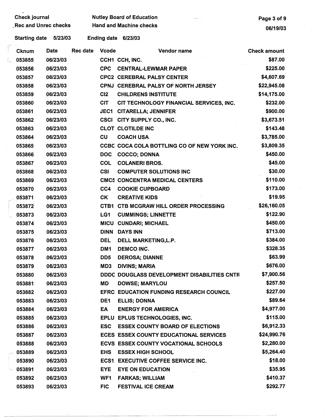| <b>Check journal</b> |             |                 |                                | <b>Nutley Board of Education</b><br>الوارد الكاسد | Page 3 of 9         |  |
|----------------------|-------------|-----------------|--------------------------------|---------------------------------------------------|---------------------|--|
| Rec and Unrec checks |             |                 | <b>Hand and Machine checks</b> |                                                   |                     |  |
| <b>Starting date</b> | 5/23/03     |                 |                                | Ending date 6/23/03                               | 06/19/03            |  |
| <b>Cknum</b>         | Date        | <b>Rec date</b> | <b>Vcode</b>                   | Vendor name                                       | <b>Check amount</b> |  |
| 053855               | 06/23/03    |                 |                                | CCH1 CCH, INC.                                    | \$87.00             |  |
| 053856               | $-06/23/03$ |                 | <b>CPC</b>                     | <b>CENTRAL-LEWMAR PAPER</b>                       | \$225.00            |  |
| 053857               | 06/23/03    |                 |                                | <b>CPC2 CEREBRAL PALSY CENTER</b>                 | \$4,607.69          |  |
| 053858               | 06/23/03    |                 |                                | CPNJ CEREBRAL PALSY OF NORTH JERSEY               | \$22,945.08         |  |
| 053859               | 06/23/03    |                 | C <sub>12</sub>                | <b>CHILDRENS INSTITUTE</b>                        | \$14,175.00         |  |
| 053860               | 06/23/03    |                 | <b>CIT</b>                     | CIT TECHNOLOGY FINANCIAL SERVICES, INC.           | \$232.00            |  |
| 053861               | 06/23/03    |                 | <b>JEC1</b>                    | <b>CITARELLA; JENNIFER</b>                        | \$900.00            |  |
| 053862               | 06/23/03    |                 |                                | CSCI CITY SUPPLY CO., INC.                        | \$3,673.51          |  |
| 053863               | 06/23/03    |                 |                                | <b>CLOT CLOTILDE INC</b>                          | \$143.48            |  |
| 053864               | 06/23/03    |                 | CU                             | <b>COACH USA</b>                                  | \$3,785.00          |  |
| 053865               | 06/23/03    |                 |                                | CCBC COCA COLA BOTTLING CO OF NEW YORK INC.       | \$3,809.35          |  |
| 053866               | 06/23/03    |                 | <b>DOC</b>                     | <b>COCCO; DONNA</b>                               | \$450.00            |  |
| 053867               | 06/23/03    |                 | <b>COL</b>                     | <b>COLANERI BROS.</b>                             | \$45.00             |  |
| 053868               | 06/23/03    |                 | <b>CSI</b>                     | <b>COMPUTER SOLUTIONS INC</b>                     | \$30.00             |  |
| 053869               | 06/23/03    |                 |                                | <b>CMC5 CONCENTRA MEDICAL CENTERS</b>             | \$110.00            |  |
| 053870               | 06/23/03    |                 | CC4                            | <b>COOKIE CUPBOARD</b>                            | \$173.00            |  |
| 053871               | 06/23/03    |                 | CK                             | <b>CREATIVE KIDS</b>                              | \$19.95             |  |
| 053872               | 06/23/03    |                 |                                | CTB1 CTB MCGRAW HILL ORDER PROCESSING             | \$26,160.05         |  |
| 053873               | 06/23/03    |                 | LG1                            | <b>CUMMINGS; LINNETTE</b>                         | \$122.90            |  |
| 053874               | 06/23/03    |                 |                                | <b>MICU CUNDARI; MICHAEL</b>                      | \$450.00            |  |
| 053875               | 06/23/03    |                 |                                | <b>DINN DAYS INN</b>                              | \$713.00            |  |
| 053876               | 06/23/03    |                 | <b>DEL</b>                     | DELL MARKETING, L.P.                              | \$384.00            |  |
| 053877               | 06/23/03    |                 | DM1                            | <b>DEMCO INC.</b>                                 | \$328.35            |  |
| 053878               | 06/23/03    |                 | DD5                            | <b>DEROSA; DIANNE</b>                             | \$63.99             |  |
| 053879               | 06/23/03    |                 | MD3                            | <b>DIVINS; MARIA</b>                              | \$676.00            |  |
| 053880               | 06/23/03    |                 |                                | DDDC DOUGLASS DEVELOPMENT DISABILITIES CNTR       | \$7,900.56          |  |
| 053881               | 06/23/03    |                 | <b>MD</b>                      | <b>DOWSE; MARYLOU</b>                             | \$257.50            |  |
| 053882               | 06/23/03    |                 |                                | EFRC EDUCATION FUNDING RESEARCH COUNCIL           | \$227.00            |  |
| 053883               | 06/23/03    |                 | DE <sub>1</sub>                | <b>ELLIS; DONNA</b>                               | \$89.64             |  |
| 053884               | 06/23/03    |                 | EA                             | <b>ENERGY FOR AMERICA</b>                         | \$4,977.00          |  |
| 053885               | 06/23/03    |                 |                                | EPLU EPLUS TECHNOLOGIES, INC.                     | \$115.00            |  |
| 053886               | 06/23/03    |                 | <b>ESC</b>                     | <b>ESSEX COUNTY BOARD OF ELECTIONS</b>            | \$6,912.33          |  |
| 053887               | 06/23/03    |                 |                                | <b>ECES ESSEX COUNTY EDUCATIONAL SERVICES</b>     | \$24,990.76         |  |
| 053888               | 06/23/03    |                 |                                | ECVS ESSEX COUNTY VOCATIONAL SCHOOLS              | \$2,280.00          |  |
| 053889               | 06/23/03    |                 | <b>EHS</b>                     | <b>ESSEX HIGH SCHOOL</b>                          | \$5,264.40          |  |
| 053890               | 06/23/03    |                 |                                | <b>ECS1 EXECUTIVE COFFEE SERVICE INC.</b>         | \$18.00             |  |
| $-053891$            | 06/23/03    |                 | <b>EYE</b>                     | <b>EYE ON EDUCATION</b>                           | \$35.95             |  |
| 053892               | 06/23/03    |                 | WF1                            | <b>FARKAS; WILLIAM</b>                            | \$410.37            |  |
| 053893               | 06/23/03    |                 | <b>FIC</b>                     | FESTIVAL ICE CREAM                                | \$292.77            |  |
|                      |             |                 |                                |                                                   |                     |  |

-----·----------------- ---- ---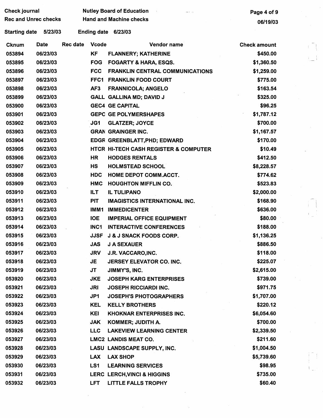| <b>Check journal</b><br><b>Rec and Unrec checks</b> |          |                 |                    | <b>Nutley Board of Education</b><br><b>Hand and Machine checks</b> | Page 4 of 9         |  |
|-----------------------------------------------------|----------|-----------------|--------------------|--------------------------------------------------------------------|---------------------|--|
|                                                     |          |                 |                    |                                                                    | 06/19/03            |  |
| <b>Starting date</b>                                | 5/23/03  |                 | <b>Ending date</b> | 6/23/03                                                            |                     |  |
| <b>Cknum</b>                                        | Date     | <b>Rec date</b> | <b>Vcode</b>       | Vendor name                                                        | <b>Check amount</b> |  |
| 053894                                              | 06/23/03 |                 | KF                 | <b>FLANNERY; KATHERINE</b>                                         | \$450.00            |  |
| 053895                                              | 06/23/03 |                 | <b>FOG</b>         | <b>FOGARTY &amp; HARA, ESQS.</b>                                   | \$1,360.50          |  |
| 053896                                              | 06/23/03 |                 | <b>FCC</b>         | <b>FRANKLIN CENTRAL COMMUNICATIONS</b>                             | \$1,259.00          |  |
| 053897                                              | 06/23/03 |                 | FFC1               | <b>FRANKLIN FOOD COURT</b>                                         | \$775.00            |  |
| 053898                                              | 06/23/03 |                 | AF <sub>3</sub>    | <b>FRANNICOLA; ANGELO</b>                                          | \$163.54            |  |
| 053899                                              | 06/23/03 |                 |                    | GALL GALLINA MD; DAVID J                                           | \$325.00            |  |
| 053900                                              | 06/23/03 |                 |                    | <b>GEC4 GE CAPITAL</b>                                             | \$96.25             |  |
| 053901                                              | 06/23/03 |                 |                    | <b>GEPC GE POLYMERSHAPES</b>                                       | \$1,787.12          |  |
| 053902                                              | 06/23/03 |                 | JG1                | <b>GLATZER; JOYCE</b>                                              | \$700.00            |  |
| 053903                                              | 06/23/03 |                 |                    | <b>GRAN GRAINGER INC.</b>                                          | \$1,167.57          |  |
| 053904                                              | 06/23/03 |                 |                    | EDGR GREENBLATT, PHD; EDWARD                                       | \$170.00            |  |
| 053905                                              | 06/23/03 |                 |                    | HTCR HI-TECH CASH REGISTER & COMPUTER                              | \$10.49             |  |
| 053906                                              | 06/23/03 |                 | <b>HR</b>          | <b>HODGES RENTALS</b>                                              | \$412.50            |  |
| 053907                                              | 06/23/03 |                 | HS                 | <b>HOLMSTEAD SCHOOL</b>                                            | \$8,228.57          |  |
| 053908                                              | 06/23/03 |                 | <b>HDC</b>         | <b>HOME DEPOT COMM.ACCT.</b>                                       | \$774.62            |  |
| 053909                                              | 06/23/03 |                 | <b>HMC</b>         | <b>HOUGHTON MIFFLIN CO.</b>                                        | \$523.83            |  |
| 053910                                              | 06/23/03 |                 | <b>ILT</b>         | <b>IL TULIPANO</b>                                                 | \$2,000.00          |  |
| 053911                                              | 06/23/03 |                 | <b>PIT</b>         | <b>IMAGISTICS INTERNATIONAL INC.</b>                               | \$168.90            |  |
| 053912                                              | 06/23/03 |                 | IMM1               | <b>IMMEDICENTER</b>                                                | \$636.00            |  |
| 053913                                              | 06/23/03 |                 | <b>IOE</b>         | <b>IMPERIAL OFFICE EQUIPMENT</b>                                   | \$80.00             |  |
| 053914                                              | 06/23/03 |                 | INC1               | <b>INTERACTIVE CONFERENCES</b>                                     | \$188.00            |  |
| 053915                                              | 06/23/03 |                 | <b>JJSF</b>        | <b>J &amp; J SNACK FOODS CORP.</b>                                 | \$1,136.25          |  |
| 053916                                              | 06/23/03 |                 | <b>JAS</b>         | <b>J A SEXAUER</b>                                                 | \$886.50            |  |
| 053917                                              | 06/23/03 |                 | <b>JRV</b>         | J.R. VACCARO, INC.                                                 | \$118.00            |  |
| 053918                                              | 06/23/03 |                 | JE                 | JERSEY ELEVATOR CO. INC.                                           | \$225.07            |  |
| 053919                                              | 06/23/03 |                 | JT                 | JIMMY'S, INC.                                                      | \$2,615.00          |  |
| 053920                                              | 06/23/03 |                 | <b>JKE</b>         | <b>JOSEPH KARG ENTERPRISES</b>                                     | \$739.00            |  |
| 053921                                              | 06/23/03 |                 | <b>JRI</b>         | <b>JOSEPH RICCIARDI INC.</b>                                       | \$971.75            |  |
| 053922                                              | 06/23/03 |                 | JP1                | <b>JOSEPH'S PHOTOGRAPHERS</b>                                      | \$1,707.00          |  |
| 053923                                              | 06/23/03 |                 | KEL                | <b>KELLY BROTHERS</b>                                              | \$220.12            |  |
| 053924                                              | 06/23/03 |                 | <b>KEI</b>         | <b>KHOKNAR ENTERPRISES INC.</b>                                    | \$6,054.60          |  |
| 053925                                              | 06/23/03 |                 | <b>JAK</b>         | KOMMER; JUDITH A.                                                  | \$700.00            |  |
| 053926                                              | 06/23/03 |                 | <b>LLC</b>         | <b>LAKEVIEW LEARNING CENTER</b>                                    | \$2,339.50          |  |
| 053927                                              | 06/23/03 |                 |                    | LMC2 LANDIS MEAT CO.                                               | \$211.60            |  |
| 053928                                              | 06/23/03 |                 |                    | LASU LANDSCAPE SUPPLY, INC.                                        | \$1,004.50          |  |
| 053929                                              | 06/23/03 |                 | <b>LAX</b>         | <b>LAX SHOP</b>                                                    | \$5,739.60          |  |
| 053930                                              | 06/23/03 |                 | LS1                | <b>LEARNING SERVICES</b>                                           | \$98.95             |  |
| 053931                                              | 06/23/03 |                 |                    | LERC LERCH, VINCI & HIGGINS                                        | \$735.00            |  |
| 053932                                              | 06/23/03 |                 | <b>LFT</b>         | LITTLE FALLS TROPHY                                                | \$60.40             |  |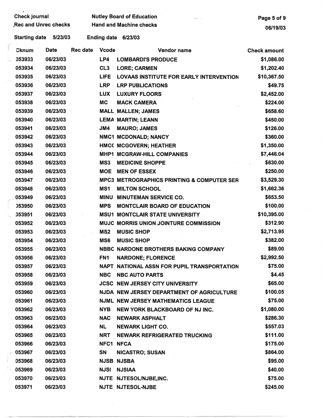| <b>Check journal</b>        |             |                 |                    | <b>Nutley Board of Education</b>                      | Page 5 of 9         |
|-----------------------------|-------------|-----------------|--------------------|-------------------------------------------------------|---------------------|
| <b>Rec and Unrec checks</b> |             |                 |                    | <b>Hand and Machine checks</b>                        | 06/19/03            |
| <b>Starting date</b>        | 5/23/03     |                 | <b>Ending date</b> | 6/23/03                                               |                     |
| Cknum                       | <b>Date</b> | <b>Rec date</b> | <b>Vcode</b>       | Vendor name                                           | <b>Check amount</b> |
| 053933                      | 06/23/03    |                 | LP4                | <b>LOMBARDI'S PRODUCE</b>                             | \$1,086.00          |
| 053934                      | 06/23/03    |                 | CL <sub>3</sub>    | <b>LORE; CARMEN</b>                                   | \$1,202.40          |
| 053935                      | 06/23/03    |                 | <b>LIFE</b>        | <b>LOVAAS INSTITUTE FOR EARLY INTERVENTION</b>        | \$10,367.50         |
| 053936                      | 06/23/03    |                 | <b>LRP</b>         | <b>LRP PUBLICATIONS</b>                               | \$49.75             |
| 053937                      | 06/23/03    |                 | <b>LUX</b>         | <b>LUXURY FLOORS</b>                                  | \$2,452.00          |
| 053938                      | 06/23/03    |                 | <b>MC</b>          | <b>MACK CAMERA</b>                                    | \$224.00            |
| 053939                      | 06/23/03    |                 |                    | <b>MALL MALLEN; JAMES</b>                             | \$658.60            |
| 053940                      | 06/23/03    |                 |                    | <b>LEMA MARTIN; LEANN</b>                             | \$450.00            |
| 053941                      | 06/23/03    |                 | JMA                | <b>MAURO; JAMES</b>                                   | \$126.00            |
| 053942                      | 06/23/03    |                 |                    | NMC1 MCDONALD; NANCY                                  | \$360.00            |
| 053943                      | 06/23/03    |                 |                    | HMCC MCGOVERN; HEATHER                                | \$1,350.00          |
| 053944                      | 06/23/03    |                 |                    | MHP1 MCGRAW-HILL COMPANIES                            | \$7,446.04          |
| 053945                      | 06/23/03    |                 | MS3                | <b>MEDICINE SHOPPE</b>                                | \$630.00            |
| 053946                      | 06/23/03    |                 | <b>MOE</b>         | <b>MEN OF ESSEX</b>                                   | \$250.00            |
| 053947                      | 06/23/03    |                 |                    | <b>MPC3 METROGRAPHICS PRINTING &amp; COMPUTER SER</b> | \$3,529.30          |
| 053948                      | 06/23/03    |                 | MS1                | <b>MILTON SCHOOL</b>                                  | \$1,662.36          |
| 053949                      | 06/23/03    |                 | <b>MINU</b>        | <b>MINUTEMAN SERVICE CO.</b>                          | \$653.50            |
| 053950                      | 06/23/03    |                 | <b>MPS</b>         | <b>MONTCLAIR BOARD OF EDUCATION</b>                   | \$100.00            |
| 053951                      | 06/23/03    |                 |                    | <b>MSU1 MONTCLAIR STATE UNIVERSITY</b>                | \$10,395.00         |
| 053952                      | 06/23/03    |                 |                    | MUJC MORRIS UNION JOINTURE COMMISSION                 | \$312.90            |
| 053953                      | 06/23/03    |                 | MS <sub>2</sub>    | <b>MUSIC SHOP</b>                                     | \$2,713.95          |
| 053954                      | 06/23/03    |                 | MS6                | <b>MUSIC SHOP</b>                                     | \$382.00            |
| 053955                      | 06/23/03    |                 |                    | NBBC NARDONE BROTHERS BAKING COMPANY                  | \$89.00             |
| 053956                      | 06/23/03    |                 | FN1                | <b>NARDONE; FLORENCE</b>                              | \$2,992.50          |
| 053957                      | 06/23/03    |                 |                    | NAPT NATIONAL ASSN FOR PUPIL TRANSPORTATION           | \$75.00             |
| 053958                      | 06/23/03    |                 | <b>NBC</b>         | <b>NBC AUTO PARTS</b>                                 | \$4.45              |
| 053959                      | 06/23/03    |                 |                    | <b>JCSC NEW JERSEY CITY UNIVERSITY</b>                | \$65.00             |
| 053960                      | 06/23/03    |                 |                    | NJDA NEW JERSEY DEPARTMENT OF AGRICULTURE             | \$100.05            |
| 053961                      | 06/23/03    |                 |                    | <b>NJML NEW JERSEY MATHEMATICS LEAGUE</b>             | \$75.00             |
| 053962                      | 06/23/03    |                 | <b>NYB</b>         | NEW YORK BLACKBOARD OF NJ INC.                        | \$1,080.00          |
| 053963                      | 06/23/03    |                 | <b>NAC</b>         | <b>NEWARK ASPHALT</b>                                 | \$286.30            |
| 053964                      | 06/23/03    |                 | <b>NL</b>          | <b>NEWARK LIGHT CO.</b>                               | \$557.03            |
| 053965                      | 06/23/03    |                 | <b>NRT</b>         | <b>NEWARK REFRIGERATED TRUCKING</b>                   | \$111.00            |
| 053966                      | 06/23/03    |                 | NFC1 NFCA          |                                                       | \$175.00            |
| $-053967$                   | 06/23/03    |                 | <b>SN</b>          | <b>NICASTRO; SUSAN</b>                                | \$864.00            |
| 053968                      | 06/23/03    |                 |                    | <b>NJSB NJSBA</b>                                     | \$95.00             |
| 053969                      | 06/23/03    |                 |                    | <b>NJSI NJSIAA</b>                                    | \$40.00             |
| 053970                      | 06/23/03    |                 |                    | NJTE NJTESOL/NJBE,INC.                                | \$75.00             |
| 053971                      | 06/23/03    |                 |                    | NJTE NJTESOL-NJBE                                     | \$245.00            |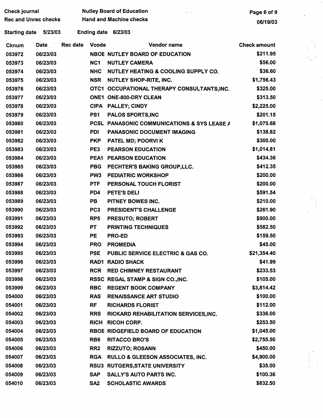| <b>Check journal</b>        |             |                 | <b>Nutley Board of Education</b> | Page 6 of 9                                       |                     |
|-----------------------------|-------------|-----------------|----------------------------------|---------------------------------------------------|---------------------|
| <b>Rec and Unrec checks</b> |             |                 | <b>Hand and Machine checks</b>   | 06/19/03                                          |                     |
| <b>Starting date</b>        | 5/23/03     |                 |                                  | Ending date 6/23/03                               |                     |
| <b>Cknum</b>                | <b>Date</b> | <b>Rec date</b> | <b>Vcode</b>                     | Vendor name                                       | <b>Check amount</b> |
| 053972                      | 06/23/03    |                 |                                  | <b>NBOE NUTLEY BOARD OF EDUCATION</b>             | \$211.95            |
| 053973                      | 06/23/03    |                 | NC <sub>1</sub>                  | <b>NUTLEY CAMERA</b>                              | \$56.00             |
| 053974                      | 06/23/03    |                 | <b>NHC</b>                       | <b>NUTLEY HEATING &amp; COOLING SUPPLY CO.</b>    | \$36.60             |
| 053975                      | 06/23/03    |                 | <b>NSR</b>                       | <b>NUTLEY SHOP-RITE, INC.</b>                     | \$1,756.43          |
| 053976                      | 06/23/03    |                 |                                  | OTC1 OCCUPATIONAL THERAPY CONSULTANTS, INC.       | \$325.00            |
| 053977                      | 06/23/03    |                 |                                  | ONE1 ONE-800-DRY CLEAN                            | \$313.50            |
| 053978                      | 06/23/03    |                 |                                  | CIPA PALLEY; CINDY                                | \$2,225.00          |
| 053979                      | 06/23/03    |                 | PS1                              | <b>PALOS SPORTS, INC</b>                          | \$201.15            |
| 053980                      | 06/23/03    |                 | <b>PCSL</b>                      | <b>PANASONIC COMMUNICATIONS &amp; SYS LEASE A</b> | \$1,075.68          |
| 053981                      | 06/23/03    |                 | PDI                              | <b>PANASONIC DOCUMENT IMAGING</b>                 | \$138.82            |
| 053982                      | 06/23/03    |                 | <b>PKP</b>                       | <b>PATEL MD; POORVI K</b>                         | \$300.00            |
| 053983                      | 06/23/03    |                 | PE3                              | <b>PEARSON EDUCATION</b>                          | \$1,014.81          |
| 053984                      | 06/23/03    |                 | PEA1                             | <b>PEARSON EDUCATION</b>                          | \$434.36            |
| 053985                      | 06/23/03    |                 | <b>PBG</b>                       | PECHTER'S BAKING GROUP, LLC.                      | \$412.35            |
| 053986                      | 06/23/03    |                 | PW <sub>3</sub>                  | <b>PEDIATRIC WORKSHOP</b>                         | \$200.00            |
| 053987                      | 06/23/03    |                 | <b>PTF</b>                       | PERSONAL TOUCH FLORIST                            | \$200.00            |
| 053988                      | 06/23/03    |                 | PD4                              | PETE'S DELI                                       | \$591.54            |
| 053989                      | 06/23/03    |                 | <b>PB</b>                        | PITNEY BOWES INC.                                 | \$210.00            |
| 053990                      | 06/23/03    |                 | PC <sub>3</sub>                  | PRESIDENT'S CHALLENGE                             | \$261.90            |
| 053991                      | 06/23/03    |                 | RP <sub>5</sub>                  | <b>PRESUTO; ROBERT</b>                            | \$900.00            |
| 053992                      | 06/23/03    |                 | PT                               | <b>PRINTING TECHNIQUES</b>                        | \$582.50            |
| 053993                      | 06/23/03    |                 | PE                               | <b>PRO-ED</b>                                     | \$159.50            |
| 053994                      | 06/23/03    |                 | <b>PRO</b>                       | <b>PROMEDIA</b>                                   | \$45.00             |
| 053995                      | 06/23/03    |                 | <b>PSE</b>                       | PUBLIC SERVICE ELECTRIC & GAS CO.                 | \$21,354.40         |
| 053996                      | 06/23/03    |                 |                                  | <b>RAD1 RADIO SHACK</b>                           | \$41.99             |
| 053997                      | 06/23/03    |                 | <b>RCR</b>                       | <b>RED CHIMNEY RESTAURANT</b>                     | \$233.53            |
| 053998                      | 06/23/03    |                 |                                  | RSSC REGAL STAMP & SIGN CO., INC.                 | \$105.00            |
| 053999                      | 06/23/03    |                 | <b>RBC</b>                       | <b>REGENT BOOK COMPANY</b>                        | \$3,814.42          |
| 054000                      | 06/23/03    |                 | <b>RAS</b>                       | <b>RENAISSANCE ART STUDIO</b>                     | \$100.00            |
| 054001                      | 06/23/03    |                 | <b>RF</b>                        | <b>RICHARDS FLORIST</b>                           | \$112.00            |
| 054002                      | 06/23/03    |                 | <b>RRS</b>                       | RICKARD REHABILITATION SERVICES, INC.             | \$336.00            |
| 054003                      | 06/23/03    |                 | <b>RICH</b>                      | <b>RICOH CORP.</b>                                | \$253.50            |
| 054004                      | 06/23/03    |                 |                                  | RBOE RIDGEFIELD BOARD OF EDUCATION                | \$1,045.00          |
| 054005                      | 06/23/03    |                 | RB <sub>6</sub>                  | <b>RITACCO BRO'S</b>                              | \$2,755.50          |
| 054006                      | 06/23/03    |                 | RR <sub>2</sub>                  | <b>RIZZUTO; ROSANN</b>                            | \$450.00            |
| 054007                      | 06/23/03    |                 | <b>RGA</b>                       | <b>RULLO &amp; GLEESON ASSOCIATES, INC.</b>       | \$4,900.00          |
| 054008                      | 06/23/03    |                 |                                  | RSU3 RUTGERS, STATE UNIVERSITY                    | \$35.00             |
| 054009                      | 06/23/03    |                 | <b>SAP</b>                       | <b>SALLY'S AUTO PARTS INC.</b>                    | \$100.36            |
| 054010                      | 06/23/03    |                 | SA <sub>2</sub>                  | <b>SCHOLASTIC AWARDS</b>                          | \$832.50            |

 $\begin{aligned} \mathbf{E}^{(1)}_{\text{max}} \\ \mathbf{E}^{(2)}_{\text{max}} \end{aligned}$ 

 $\label{eq:2} \frac{1}{\sqrt{2}}\int_{0}^{\infty}\frac{1}{\sqrt{2}}\left(\frac{1}{\sqrt{2}}\right)^{2}d\theta\,d\theta.$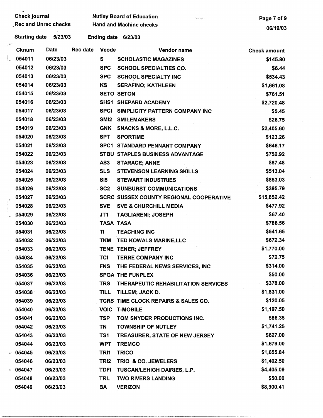| <b>Check journal</b><br>Rec and Unrec checks |                      |                                | <b>Nutley Board of Education</b> | Page 7 of 9        |                                                |                     |
|----------------------------------------------|----------------------|--------------------------------|----------------------------------|--------------------|------------------------------------------------|---------------------|
|                                              |                      | <b>Hand and Machine checks</b> | 06/19/03                         |                    |                                                |                     |
|                                              | <b>Starting date</b> | 5/23/03                        |                                  | <b>Ending date</b> | 6/23/03                                        |                     |
|                                              | <b>Cknum</b>         | Date                           | <b>Rec date</b>                  | <b>Vcode</b>       | Vendor name                                    | <b>Check amount</b> |
|                                              | 054011               | 06/23/03                       |                                  | S                  | <b>SCHOLASTIC MAGAZINES</b>                    | \$145.80            |
|                                              | 054012               | 06/23/03                       |                                  | <b>SPC</b>         | <b>SCHOOL SPECIALTIES CO.</b>                  | \$6.44              |
|                                              | 054013               | 06/23/03                       |                                  | <b>SPC</b>         | <b>SCHOOL SPECIALTY INC</b>                    | \$534.43            |
|                                              | 054014               | 06/23/03                       |                                  | KS                 | <b>SERAFINO; KATHLEEN</b>                      | \$1,661.08          |
|                                              | 054015               | 06/23/03                       |                                  |                    | <b>SETO SETON</b>                              | \$761.51            |
|                                              | 054016               | 06/23/03                       |                                  |                    | <b>SHS1 SHEPARD ACADEMY</b>                    | \$2,720.48          |
|                                              | 054017               | 06/23/03                       |                                  | <b>SPCI</b>        | SIMPLICITY PATTERN COMPANY INC                 | \$5.45              |
|                                              | 054018               | 06/23/03                       |                                  | SM <sub>12</sub>   | <b>SMILEMAKERS</b>                             | \$26.75             |
|                                              | 054019               | 06/23/03                       |                                  | <b>GNK</b>         | <b>SNACKS &amp; MORE, L.L.C.</b>               | \$2,405.60          |
|                                              | 054020               | 06/23/03                       |                                  | <b>SPT</b>         | <b>SPORTIME</b>                                | \$123.26            |
|                                              | 054021               | 06/23/03                       |                                  |                    | SPC1 STANDARD PENNANT COMPANY                  | \$646.17            |
|                                              | 054022               | 06/23/03                       |                                  |                    | <b>STBU STAPLES BUSINESS ADVANTAGE</b>         | \$752.92            |
|                                              | 054023               | 06/23/03                       |                                  | AS <sub>3</sub>    | <b>STARACE; ANNE</b>                           | \$87.48             |
|                                              | 054024               | 06/23/03                       |                                  | <b>SLS</b>         | <b>STEVENSON LEARNING SKILLS</b>               | \$513.04            |
|                                              | 054025               | 06/23/03                       |                                  | SI5                | <b>STEWART INDUSTRIES</b>                      | \$853.03            |
|                                              | 054026               | 06/23/03                       |                                  | SC <sub>2</sub>    | <b>SUNBURST COMMUNICATIONS</b>                 | \$395.79            |
|                                              | 054027               | 06/23/03                       |                                  |                    | <b>SCRC SUSSEX COUNTY REGIONAL COOPERATIVE</b> | \$15,852.42         |
|                                              | 054028               | 06/23/03                       |                                  | <b>SVE</b>         | <b>SVE &amp; CHURCHILL MEDIA</b>               | \$477.92            |
|                                              | 054029               | 06/23/03                       |                                  | JT1                | <b>TAGLIARENI; JOSEPH</b>                      | \$67.40             |
|                                              | 054030               | 06/23/03                       |                                  | <b>TASA TASA</b>   |                                                | \$786.56            |
|                                              | 054031               | 06/23/03                       |                                  | ΤI                 | <b>TEACHING INC</b>                            | \$541.65            |
|                                              | 054032               | 06/23/03                       |                                  | <b>TKM</b>         | TED KOWALS MARINE, LLC                         | \$672.34            |
|                                              | 054033               | 06/23/03                       |                                  |                    | TENE TENER; JEFFREY                            | \$1,770.00          |
|                                              | 054034               | 06/23/03                       |                                  | <b>TCI</b>         | <b>TERRE COMPANY INC</b>                       | \$72.75             |
|                                              | 054035               | 06/23/03                       |                                  | <b>FNS</b>         | THE FEDERAL NEWS SERVICES, INC                 | \$314.00            |
|                                              | 054036               | 06/23/03                       |                                  |                    | <b>SPGA THE FUNPLEX</b>                        | \$50.00             |
|                                              | 054037               | 06/23/03                       |                                  | <b>TRS</b>         | THERAPEUTIC REHABILITATION SERVICES            | \$378.00            |
|                                              | 054038               | 06/23/03                       |                                  | <b>TILL</b>        | TILLEM; JACK D.                                | \$1,831.00          |
|                                              | 054039               | 06/23/03                       |                                  |                    | TCRS TIME CLOCK REPAIRS & SALES CO.            | \$120.05            |
|                                              | 054040               | 06/23/03                       |                                  |                    | <b>VOIC T-MOBILE</b>                           | \$1,197.50          |
|                                              | 054041               | 06/23/03                       |                                  | <b>TSP</b>         | TOM SNYDER PRODUCTIONS INC.                    | \$86.35             |
|                                              | 054042               | 06/23/03                       |                                  | TN                 | <b>TOWNSHIP OF NUTLEY</b>                      | \$1,741.25          |
|                                              | 054043               | 06/23/03                       |                                  | TS1                | TREASURER, STATE OF NEW JERSEY                 | \$627.00            |
|                                              | 054044               | 06/23/03                       |                                  | <b>WPT</b>         | <b>TREMCO</b>                                  | \$1,679.00          |
|                                              | 054045               | 06/23/03                       |                                  | TRI1               | <b>TRICO</b>                                   | \$1,655.84          |
|                                              | 054046               | 06/23/03                       |                                  | TRI <sub>2</sub>   | TRIO & CO. JEWELERS                            | \$1,402.50          |
| $\pm$                                        | 054047               | 06/23/03                       |                                  | <b>TDFI</b>        | TUSCAN/LEHIGH DAIRIES, L.P.                    | \$4,405.09          |
|                                              | 054048               | 06/23/03                       |                                  | <b>TRL</b>         | <b>TWO RIVERS LANDING</b>                      | \$50.00             |
|                                              | 054049               | 06/23/03                       |                                  | BA                 | <b>VERIZON</b>                                 | \$8,900.41          |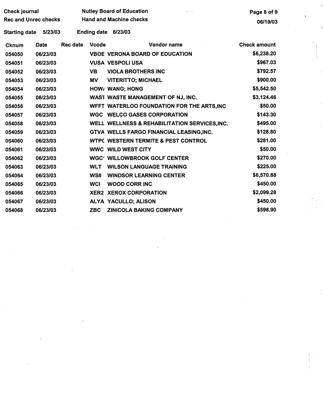| Check journal               |             |                 | <b>Nutley Board of Education</b><br>articles. | Page 8 of 9                                    |                     |  |  |
|-----------------------------|-------------|-----------------|-----------------------------------------------|------------------------------------------------|---------------------|--|--|
| <b>Rec and Unrec checks</b> |             |                 |                                               | <b>Hand and Machine checks</b>                 | 06/19/03            |  |  |
| <b>Starting date</b>        | 5/23/03     |                 |                                               | Ending date 6/23/03                            |                     |  |  |
| <b>Cknum</b>                | <b>Date</b> | <b>Rec date</b> | <b>Vcode</b>                                  | Vendor name                                    | <b>Check amount</b> |  |  |
| 054050                      | 06/23/03    |                 |                                               | <b>VBOE VERONA BOARD OF EDUCATION</b>          | \$6,238.20          |  |  |
| 054051                      | 06/23/03    |                 |                                               | <b>VUSA VESPOLI USA</b>                        | \$967.03            |  |  |
| 054052                      | 06/23/03    |                 | <b>VB</b>                                     | <b>VIOLA BROTHERS INC</b>                      | \$792.57            |  |  |
| 054053                      | 06/23/03    |                 | MV                                            | <b>VITERITTO; MICHAEL</b>                      | \$900.00            |  |  |
| 054054                      | 06/23/03    |                 |                                               | HOW/ WANG; HONG                                | \$5,542.50          |  |  |
| 054055                      | 06/23/03    |                 |                                               | WAST WASTE MANAGEMENT OF NJ, INC.              | \$3,124.46          |  |  |
| 054056                      | 06/23/03    |                 |                                               | WFFT WATERLOO FOUNDATION FOR THE ARTS, INC     | \$50.00             |  |  |
| 054057                      | 06/23/03    |                 |                                               | <b>WGC WELCO GASES CORPORATION</b>             | \$143.30            |  |  |
| 054058                      | 06/23/03    |                 |                                               | WELL WELLNESS & REHABILITATION SERVICES, INC.  | \$495.00            |  |  |
| 054059                      | 06/23/03    |                 |                                               | GTVA WELLS FARGO FINANCIAL LEASING, INC.       | \$128.80            |  |  |
| 054060                      | 06/23/03    |                 |                                               | <b>WTPC WESTERN TERMITE &amp; PEST CONTROL</b> | \$281.00            |  |  |
| 054061                      | 06/23/03    |                 |                                               | <b>WWC WILD WEST CITY</b>                      | \$50.00             |  |  |
| 054062                      | 06/23/03    |                 |                                               | <b>WGC' WILLOWBROOK GOLF CENTER</b>            | \$270.00            |  |  |
| 054063                      | 06/23/03    |                 | <b>WLT</b>                                    | <b>WILSON LANGUAGE TRAINING</b>                | \$225.00            |  |  |
| 054064                      | 06/23/03    |                 | WS8                                           | <b>WINDSOR LEARNING CENTER</b>                 | \$6,570.88          |  |  |
| 054065                      | 06/23/03    |                 | <b>WCI</b>                                    | <b>WOOD CORR INC</b>                           | \$450.00            |  |  |
| 054066                      | 06/23/03    |                 |                                               | <b>XER2 XEROX CORPORATION</b>                  | \$2,099.28          |  |  |
| 054067                      | 06/23/03    |                 |                                               | ALYA YACULLO; ALISON                           | \$450.00            |  |  |
| 054068                      | 06/23/03    |                 | <b>ZBC</b>                                    | <b>ZINICOLA BAKING COMPANY</b>                 | \$598.90            |  |  |

 $\label{eq:2} \frac{d\mathcal{L}}{d\mathcal{L}} = \frac{1}{2} \sum_{i=1}^n \frac{d\mathcal{L}}{d\mathcal{L}} \, \frac{d\mathcal{L}}{d\mathcal{L}} \, .$ 

 $\label{eq:2.1} \frac{1}{\sqrt{2}}\int_{\mathbb{R}^3} \frac{1}{\sqrt{2}}\left(\frac{1}{\sqrt{2}}\right)^2\frac{1}{\sqrt{2}}\left(\frac{1}{\sqrt{2}}\right)^2\frac{1}{\sqrt{2}}\left(\frac{1}{\sqrt{2}}\right)^2.$ 

 $\frac{1}{2} \frac{1}{2} \frac{1}{2} \frac{1}{2}$